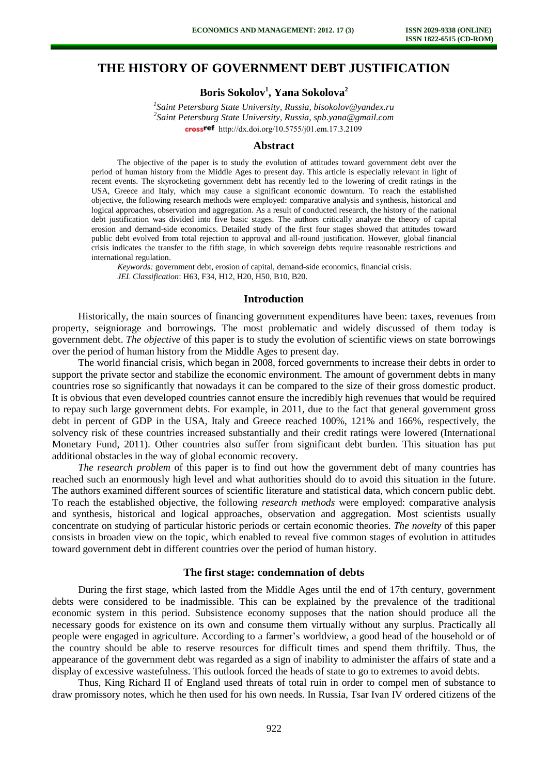# **THE HISTORY OF GOVERNMENT DEBT JUSTIFICATION**

# **Boris Sokolov<sup>1</sup> , Yana Sokolova<sup>2</sup>**

*1 Saint Petersburg State University, Russia, bisokolov@yandex.ru 2 Saint Petersburg State University, Russia, spb.yana@gmail.com* [http://dx.doi.org/10.5755/j01.e](http://dx.doi.org/10.5755/j01.em.17.3.2109)m.17.3.2109

#### **Abstract**

The objective of the paper is to study the evolution of attitudes toward government debt over the period of human history from the Middle Ages to present day. This article is especially relevant in light of recent events. The skyrocketing government debt has recently led to the lowering of credit ratings in the USA, Greece and Italy, which may cause a significant economic downturn. To reach the established objective, the following research methods were employed: comparative analysis and synthesis, historical and logical approaches, observation and aggregation. As a result of conducted research, the history of the national debt justification was divided into five basic stages. The authors critically analyze the theory of capital erosion and demand-side economics. Detailed study of the first four stages showed that attitudes toward public debt evolved from total rejection to approval and all-round justification. However, global financial crisis indicates the transfer to the fifth stage, in which sovereign debts require reasonable restrictions and international regulation.

*Keywords:* government debt, erosion of capital, demand-side economics, financial crisis. *JEL Classification*: H63, F34, H12, H20, H50, B10, B20.

#### **Introduction**

Historically, the main sources of financing government expenditures have been: taxes, revenues from property, seigniorage and borrowings. The most problematic and widely discussed of them today is government debt. *The objective* of this paper is to study the evolution of scientific views on state borrowings over the period of human history from the Middle Ages to present day.

The world financial crisis, which began in 2008, forced governments to increase their debts in order to support the private sector and stabilize the economic environment. The amount of government debts in many countries rose so significantly that nowadays it can be compared to the size of their gross domestic product. It is obvious that even developed countries cannot ensure the incredibly high revenues that would be required to repay such large government debts. For example, in 2011, due to the fact that general government gross debt in percent of GDP in the USA, Italy and Greece reached 100%, 121% and 166%, respectively, the solvency risk of these countries increased substantially and their credit ratings were lowered (International Monetary Fund, 2011). Other countries also suffer from significant debt burden. This situation has put additional obstacles in the way of global economic recovery.

*The research problem* of this paper is to find out how the government debt of many countries has reached such an enormously high level and what authorities should do to avoid this situation in the future. The authors examined different sources of scientific literature and statistical data, which concern public debt. To reach the established objective, the following *research methods* were employed: comparative analysis and synthesis, historical and logical approaches, observation and aggregation. Most scientists usually concentrate on studying of particular historic periods or certain economic theories. *The novelty* of this paper consists in broaden view on the topic, which enabled to reveal five common stages of evolution in attitudes toward government debt in different countries over the period of human history.

### **The first stage: condemnation of debts**

During the first stage, which lasted from the Middle Ages until the end of 17th century, government debts were considered to be inadmissible. This can be explained by the prevalence of the traditional economic system in this period. Subsistence economy supposes that the nation should produce all the necessary goods for existence on its own and consume them virtually without any surplus. Practically all people were engaged in agriculture. According to a farmer's worldview, a good head of the household or of the country should be able to reserve resources for difficult times and spend them thriftily. Thus, the appearance of the government debt was regarded as a sign of inability to administer the affairs of state and a display of excessive wastefulness. This outlook forced the heads of state to go to extremes to avoid debts.

Thus, King Richard II of England used threats of total ruin in order to compel men of substance to draw promissory notes, which he then used for his own needs. In Russia, Tsar Ivan IV ordered citizens of the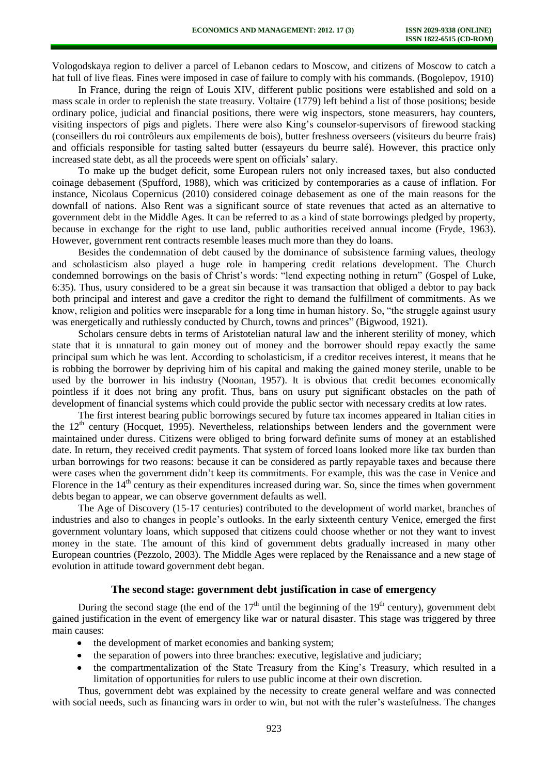Vologodskaya region to deliver a parcel of Lebanon cedars to Moscow, and citizens of Moscow to catch a hat full of live fleas. Fines were imposed in case of failure to comply with his commands. (Bogolepov, 1910)

In France, during the reign of Louis XIV, different public positions were established and sold on a mass scale in order to replenish the state treasury. Voltaire (1779) left behind a list of those positions; beside ordinary police, judicial and financial positions, there were wig inspectors, stone measurers, hay counters, visiting inspectors of pigs and piglets. There were also King's counselor-supervisors of firewood stacking (conseillers du roi contrôleurs aux empilements de bois), butter freshness overseers (visiteurs du beurre frais) and officials responsible for tasting salted butter (essayeurs du beurre salé). However, this practice only increased state debt, as all the proceeds were spent on officials' salary.

To make up the budget deficit, some European rulers not only increased taxes, but also conducted coinage debasement (Spufford, 1988), which was criticized by contemporaries as a cause of inflation. For instance, Nicolaus Copernicus (2010) considered coinage debasement as one of the main reasons for the downfall of nations. Also Rent was a significant source of state revenues that acted as an alternative to government debt in the Middle Ages. It can be referred to as a kind of state borrowings pledged by property, because in exchange for the right to use land, public authorities received annual income (Fryde, 1963). However, government rent contracts resemble leases much more than they do loans.

Besides the condemnation of debt caused by the dominance of subsistence farming values, theology and scholasticism also played a huge role in hampering credit relations development. The Church condemned borrowings on the basis of Christ's words: "lend expecting nothing in return" (Gospel of Luke, 6:35). Thus, usury considered to be a great sin because it was transaction that obliged a debtor to pay back both principal and interest and gave a creditor the right to demand the fulfillment of commitments. As we know, religion and politics were inseparable for a long time in human history. So, "the struggle against usury was energetically and ruthlessly conducted by Church, towns and princes" (Bigwood, 1921).

Scholars censure debts in terms of Aristotelian natural law and the inherent sterility of money, which state that it is unnatural to gain money out of money and the borrower should repay exactly the same principal sum which he was lent. According to scholasticism, if a creditor receives interest, it means that he is robbing the borrower by depriving him of his capital and making the gained money sterile, unable to be used by the borrower in his industry (Noonan, 1957). It is obvious that credit becomes economically pointless if it does not bring any profit. Thus, bans on usury put significant obstacles on the path of development of financial systems which could provide the public sector with necessary credits at low rates.

The first interest bearing public borrowings secured by future tax incomes appeared in Italian cities in the 12<sup>th</sup> century (Hocquet, 1995). Nevertheless, relationships between lenders and the government were maintained under duress. Citizens were obliged to bring forward definite sums of money at an established date. In return, they received credit payments. That system of forced loans looked more like tax burden than urban borrowings for two reasons: because it can be considered as partly repayable taxes and because there were cases when the government didn't keep its commitments. For example, this was the case in Venice and Florence in the 14<sup>th</sup> century as their expenditures increased during war. So, since the times when government debts began to appear, we can observe government defaults as well.

The Age of Discovery (15-17 centuries) contributed to the development of world market, branches of industries and also to changes in people's outlooks. In the early sixteenth century Venice, emerged the first government voluntary loans, which supposed that citizens could choose whether or not they want to invest money in the state. The amount of this kind of government debts gradually increased in many other European countries (Pezzolo, 2003). The Middle Ages were replaced by the Renaissance and a new stage of evolution in attitude toward government debt began.

# **The second stage: government debt justification in case of emergency**

During the second stage (the end of the  $17<sup>th</sup>$  until the beginning of the  $19<sup>th</sup>$  century), government debt gained justification in the event of emergency like war or natural disaster. This stage was triggered by three main causes:

- $\bullet$ the development of market economies and banking system;
- the separation of powers into three branches: executive, legislative and judiciary;
- the compartmentalization of the State Treasury from the King's Treasury, which resulted in a limitation of opportunities for rulers to use public income at their own discretion.

Thus, government debt was explained by the necessity to create general welfare and was connected with social needs, such as financing wars in order to win, but not with the ruler's wastefulness. The changes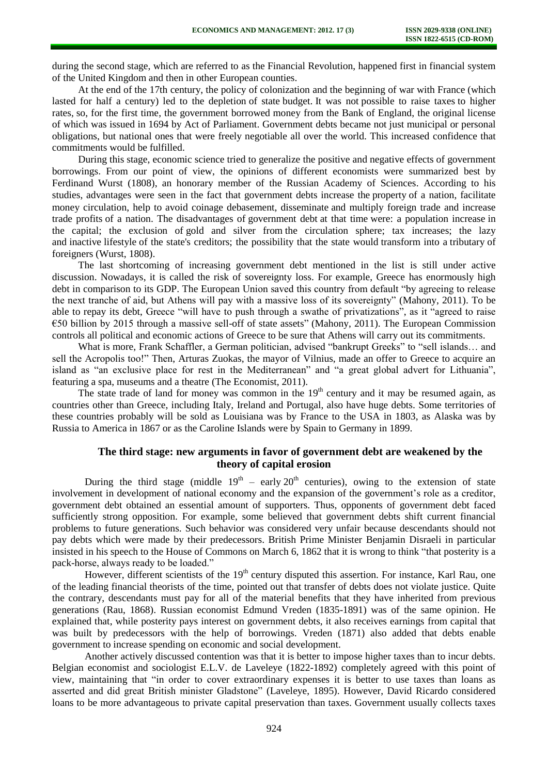during the second stage, which are referred to as the Financial Revolution, happened first in financial system of the United Kingdom and then in other European counties.

At the end of the 17th century, the policy of colonization and the beginning of war with France (which lasted for half a century) led to the depletion of state budget. It was not possible to raise taxes to higher rates, so, for the first time, the government borrowed money from the Bank of England, the original license of which was issued in 1694 by Act of Parliament. Government debts became not just municipal or personal obligations, but national ones that were freely negotiable all over the world. This increased confidence that commitments would be fulfilled.

During this stage, economic science tried to generalize the positive and negative effects of government borrowings. From our point of view, the opinions of different economists were summarized best by Ferdinand Wurst (1808), an honorary member of the Russian Academy of Sciences. According to his studies, advantages were seen in the fact that government debts increase the property of a nation, facilitate money circulation, help to avoid coinage debasement, disseminate and multiply foreign trade and increase trade profits of a nation. The disadvantages of government debt at that time were: a population increase in the capital; the exclusion of gold and silver from the circulation sphere; tax increases; the lazy and inactive lifestyle of the state's creditors; the possibility that the state would transform into a tributary of foreigners (Wurst, 1808).

The last shortcoming of increasing government debt mentioned in the list is still under active discussion. Nowadays, it is called the risk of sovereignty loss. For example, Greece has enormously high debt in comparison to its GDP. The European Union saved this country from default "by agreeing to release the next tranche of aid, but Athens will pay with a massive loss of its sovereignty" (Mahony, 2011). To be able to repay its debt, Greece "will have to push through a swathe of privatizations", as it "agreed to raise  $\epsilon$ 50 billion by 2015 through a massive sell-off of state assets" (Mahony, 2011). The European Commission controls all political and economic actions of Greece to be sure that Athens will carry out its commitments.

What is more, Frank Schaffler, a German politician, advised "bankrupt Greeks" to "sell islands… and sell the Acropolis too!" Then, Arturas Zuokas, the mayor of Vilnius, made an offer to Greece to acquire an island as "an exclusive place for rest in the Mediterranean" and "a great global advert for Lithuania", featuring a spa, museums and a theatre (The Economist, 2011).

The state trade of land for money was common in the  $19<sup>th</sup>$  century and it may be resumed again, as countries other than Greece, including Italy, Ireland and Portugal, also have huge debts. Some territories of these countries probably will be sold as Louisiana was by France to the USA in 1803, as Alaska was by Russia to America in 1867 or as the Caroline Islands were by Spain to Germany in 1899.

## **The third stage: new arguments in favor of government debt are weakened by the theory of capital erosion**

During the third stage (middle  $19<sup>th</sup>$  – early  $20<sup>th</sup>$  centuries), owing to the extension of state involvement in development of national economy and the expansion of the government's role as a creditor, government debt obtained an essential amount of supporters. Thus, opponents of government debt faced sufficiently strong opposition. For example, some believed that government debts shift current financial problems to future generations. Such behavior was considered very unfair because descendants should not pay debts which were made by their predecessors. British Prime Minister Benjamin Disraeli in particular insisted in his speech to the House of Commons on March 6, 1862 that it is wrong to think "that posterity is a pack-horse, always ready to be loaded."

However, different scientists of the 19<sup>th</sup> century disputed this assertion. For instance, Karl Rau, one of the leading financial theorists of the time, pointed out that transfer of debts does not violate justice. Quite the contrary, descendants must pay for all of the material benefits that they have inherited from previous generations (Rau, 1868). Russian economist Edmund Vreden (1835-1891) was of the same opinion. He explained that, while posterity pays interest on government debts, it also receives earnings from capital that was built by predecessors with the help of borrowings. Vreden (1871) also added that debts enable government to increase spending on economic and social development.

Another actively discussed contention was that it is better to impose higher taxes than to incur debts. Belgian economist and sociologist E.L.V. de Laveleye (1822-1892) completely agreed with this point of view, maintaining that "in order to cover extraordinary expenses it is better to use taxes than loans as asserted and did great British minister Gladstone" (Laveleye, 1895). However, David Ricardo considered loans to be more advantageous to private capital preservation than taxes. Government usually collects taxes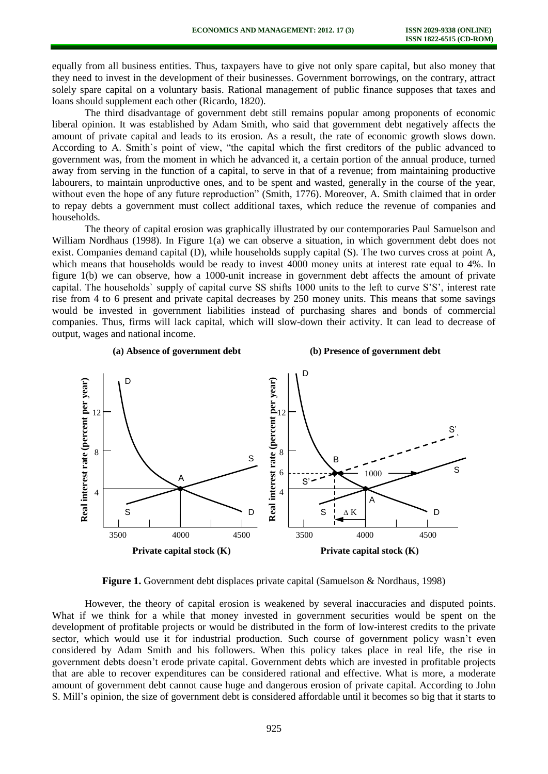equally from all business entities. Thus, taxpayers have to give not only spare capital, but also money that they need to invest in the development of their businesses. Government borrowings, on the contrary, attract solely spare capital on a voluntary basis. Rational management of public finance supposes that taxes and loans should supplement each other (Ricardo, 1820).

The third disadvantage of government debt still remains popular among proponents of economic liberal opinion. It was established by Adam Smith, who said that government debt negatively affects the amount of private capital and leads to its erosion. As a result, the rate of economic growth slows down. According to A. Smith`s point of view, "the capital which the first creditors of the public advanced to government was, from the moment in which he advanced it, a certain portion of the annual produce, turned away from serving in the function of a capital, to serve in that of a revenue; from maintaining productive labourers, to maintain unproductive ones, and to be spent and wasted, generally in the course of the year, without even the hope of any future reproduction" (Smith, 1776). Moreover, A. Smith claimed that in order to repay debts a government must collect additional taxes, which reduce the revenue of companies and households.

The theory of capital erosion was graphically illustrated by our contemporaries Paul Samuelson and William Nordhaus (1998). In Figure 1(a) we can observe a situation, in which government debt does not exist. Companies demand capital (D), while households supply capital (S). The two curves cross at point A, which means that households would be ready to invest 4000 money units at interest rate equal to 4%. In figure 1(b) we can observe, how a 1000-unit increase in government debt affects the amount of private capital. The households` supply of capital curve SS shifts 1000 units to the left to curve S'S', interest rate rise from 4 to 6 present and private capital decreases by 250 money units. This means that some savings would be invested in government liabilities instead of purchasing shares and bonds of commercial companies. Thus, firms will lack capital, which will slow-down their activity. It can lead to decrease of output, wages and national income.



**Figure 1.** Government debt displaces private capital (Samuelson & Nordhaus, 1998)

However, the theory of capital erosion is weakened by several inaccuracies and disputed points. What if we think for a while that money invested in government securities would be spent on the development of profitable projects or would be distributed in the form of low-interest credits to the private sector, which would use it for industrial production. Such course of government policy wasn't even considered by Adam Smith and his followers. When this policy takes place in real life, the rise in government debts doesn't erode private capital. Government debts which are invested in profitable projects that are able to recover expenditures can be considered rational and effective. What is more, a moderate amount of government debt cannot cause huge and dangerous erosion of private capital. According to John S. Mill's opinion, the size of government debt is considered affordable until it becomes so big that it starts to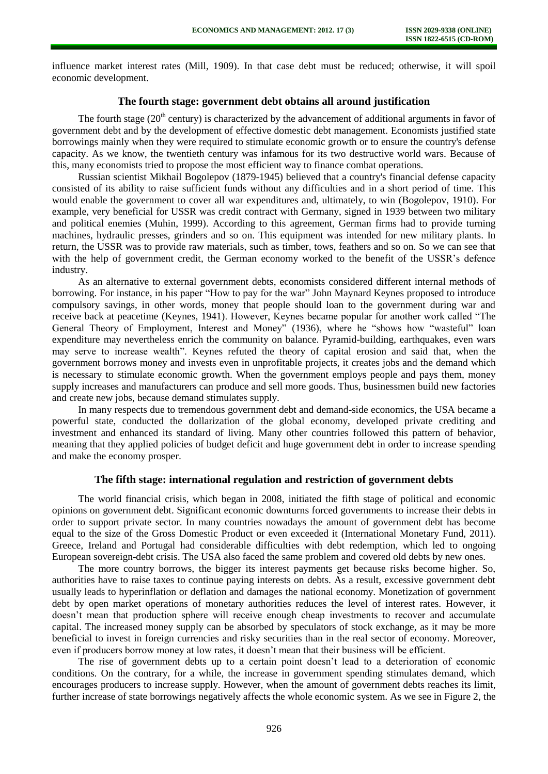influence market interest rates (Mill, 1909). In that case debt must be reduced; otherwise, it will spoil economic development.

## **The fourth stage: government debt obtains all around justification**

The fourth stage ( $20<sup>th</sup>$  century) is characterized by the advancement of additional arguments in favor of government debt and by the development of effective domestic debt management. Economists justified state borrowings mainly when they were required to stimulate economic growth or to ensure the country's defense capacity. As we know, the twentieth century was infamous for its two destructive world wars. Because of this, many economists tried to propose the most efficient way to finance combat operations.

Russian scientist Mikhail Bogolepov (1879-1945) believed that a country's financial defense capacity consisted of its ability to raise sufficient funds without any difficulties and in a short period of time. This would enable the government to cover all war expenditures and, ultimately, to win (Bogolepov, 1910). For example, very beneficial for USSR was credit contract with Germany, signed in 1939 between two military and political enemies (Muhin, 1999). According to this agreement, German firms had to provide turning machines, hydraulic presses, grinders and so on. This equipment was intended for new military plants. In return, the USSR was to provide raw materials, such as timber, tows, feathers and so on. So we can see that with the help of government credit, the German economy worked to the benefit of the USSR's defence industry.

As an alternative to external government debts, economists considered different internal methods of borrowing. For instance, in his paper "How to pay for the war" John Maynard Keynes proposed to introduce compulsory savings, in other words, money that people should loan to the government during war and receive back at peacetime (Keynes, 1941). However, Keynes became popular for another work called "The General Theory of Employment, Interest and Money" (1936), where he "shows how "wasteful" loan expenditure may nevertheless enrich the community on balance. Pyramid-building, earthquakes, even wars may serve to increase wealth". Keynes refuted the theory of capital erosion and said that, when the government borrows money and invests even in unprofitable projects, it creates jobs and the demand which is necessary to stimulate economic growth. When the government employs people and pays them, money supply increases and manufacturers can produce and sell more goods. Thus, businessmen build new factories and create new jobs, because demand stimulates supply.

In many respects due to tremendous government debt and demand-side economics, the USA became a powerful state, conducted the dollarization of the global economy, developed private crediting and investment and enhanced its standard of living. Many other countries followed this pattern of behavior, meaning that they applied policies of budget deficit and huge government debt in order to increase spending and make the economy prosper.

### **The fifth stage: international regulation and restriction of government debts**

The world financial crisis, which began in 2008, initiated the fifth stage of political and economic opinions on government debt. Significant economic downturns forced governments to increase their debts in order to support private sector. In many countries nowadays the amount of government debt has become equal to the size of the Gross Domestic Product or even exceeded it (International Monetary Fund, 2011). Greece, Ireland and Portugal had considerable difficulties with debt redemption, which led to ongoing European sovereign-debt crisis. The USA also faced the same problem and covered old debts by new ones.

The more country borrows, the bigger its interest payments get because risks become higher. So, authorities have to raise taxes to continue paying interests on debts. As a result, excessive government debt usually leads to hyperinflation or deflation and damages the national economy. Monetization of government debt by open market operations of monetary authorities reduces the level of interest rates. However, it doesn't mean that production sphere will receive enough cheap investments to recover and accumulate capital. The increased money supply can be absorbed by speculators of stock exchange, as it may be more beneficial to invest in foreign currencies and risky securities than in the real sector of economy. Moreover, even if producers borrow money at low rates, it doesn't mean that their business will be efficient.

The rise of government debts up to a certain point doesn't lead to a deterioration of economic conditions. On the contrary, for a while, the increase in government spending stimulates demand, which encourages producers to increase supply. However, when the amount of government debts reaches its limit, further increase of state borrowings negatively affects the whole economic system. As we see in Figure 2, the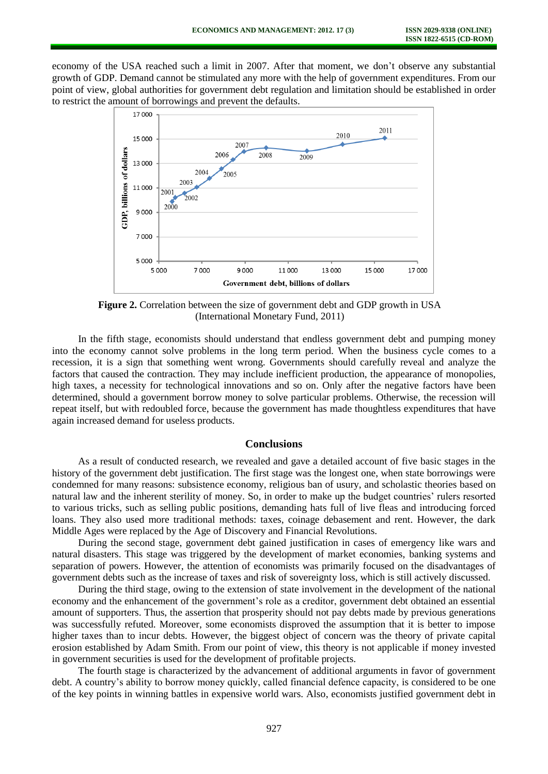economy of the USA reached such a limit in 2007. After that moment, we don't observe any substantial growth of GDP. Demand cannot be stimulated any more with the help of government expenditures. From our point of view, global authorities for government debt regulation and limitation should be established in order to restrict the amount of borrowings and prevent the defaults.



**Figure 2.** Correlation between the size of government debt and GDP growth in USA (International Monetary Fund, 2011)

In the fifth stage, economists should understand that endless government debt and pumping money into the economy cannot solve problems in the long term period. When the business cycle comes to a recession, it is a sign that something went wrong. Governments should carefully reveal and analyze the factors that caused the contraction. They may include inefficient production, the appearance of monopolies, high taxes, a necessity for technological innovations and so on. Only after the negative factors have been determined, should a government borrow money to solve particular problems. Otherwise, the recession will repeat itself, but with redoubled force, because the government has made thoughtless expenditures that have again increased demand for useless products.

### **Conclusions**

As a result of conducted research, we revealed and gave a detailed account of five basic stages in the history of the government debt justification. The first stage was the longest one, when state borrowings were condemned for many reasons: subsistence economy, religious ban of usury, and scholastic theories based on natural law and the inherent sterility of money. So, in order to make up the budget countries' rulers resorted to various tricks, such as selling public positions, demanding hats full of live fleas and introducing forced loans. They also used more traditional methods: taxes, coinage debasement and rent. However, the dark Middle Ages were replaced by the Age of Discovery and Financial Revolutions.

During the second stage, government debt gained justification in cases of emergency like wars and natural disasters. This stage was triggered by the development of market economies, banking systems and separation of powers. However, the attention of economists was primarily focused on the disadvantages of government debts such as the increase of taxes and risk of sovereignty loss, which is still actively discussed.

During the third stage, owing to the extension of state involvement in the development of the national economy and the enhancement of the government's role as a creditor, government debt obtained an essential amount of supporters. Thus, the assertion that prosperity should not pay debts made by previous generations was successfully refuted. Moreover, some economists disproved the assumption that it is better to impose higher taxes than to incur debts. However, the biggest object of concern was the theory of private capital erosion established by Adam Smith. From our point of view, this theory is not applicable if money invested in government securities is used for the development of profitable projects.

The fourth stage is characterized by the advancement of additional arguments in favor of government debt. A country's ability to borrow money quickly, called financial defence capacity, is considered to be one of the key points in winning battles in expensive world wars. Also, economists justified government debt in